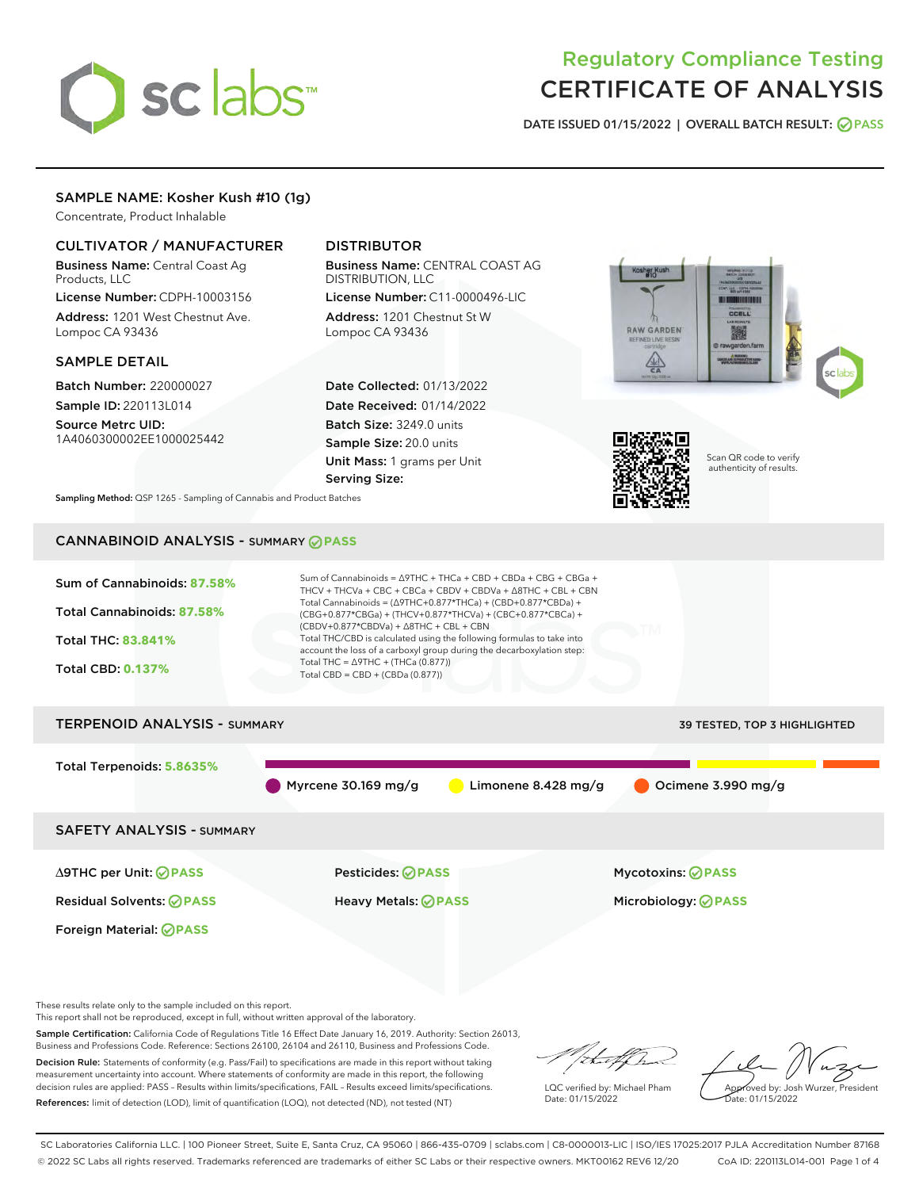# sclabs<sup>\*</sup>

## Regulatory Compliance Testing CERTIFICATE OF ANALYSIS

DATE ISSUED 01/15/2022 | OVERALL BATCH RESULT: @ PASS

#### SAMPLE NAME: Kosher Kush #10 (1g)

Concentrate, Product Inhalable

#### CULTIVATOR / MANUFACTURER

Business Name: Central Coast Ag Products, LLC

License Number: CDPH-10003156 Address: 1201 West Chestnut Ave. Lompoc CA 93436

#### SAMPLE DETAIL

Batch Number: 220000027 Sample ID: 220113L014

Source Metrc UID: 1A4060300002EE1000025442

#### DISTRIBUTOR

Business Name: CENTRAL COAST AG DISTRIBUTION, LLC License Number: C11-0000496-LIC

Address: 1201 Chestnut St W Lompoc CA 93436

Date Collected: 01/13/2022 Date Received: 01/14/2022 Batch Size: 3249.0 units Sample Size: 20.0 units Unit Mass: 1 grams per Unit Serving Size:





Scan QR code to verify authenticity of results.

Sampling Method: QSP 1265 - Sampling of Cannabis and Product Batches

### CANNABINOID ANALYSIS - SUMMARY **PASS**



This report shall not be reproduced, except in full, without written approval of the laboratory.

Sample Certification: California Code of Regulations Title 16 Effect Date January 16, 2019. Authority: Section 26013, Business and Professions Code. Reference: Sections 26100, 26104 and 26110, Business and Professions Code.

Decision Rule: Statements of conformity (e.g. Pass/Fail) to specifications are made in this report without taking measurement uncertainty into account. Where statements of conformity are made in this report, the following decision rules are applied: PASS – Results within limits/specifications, FAIL – Results exceed limits/specifications. References: limit of detection (LOD), limit of quantification (LOQ), not detected (ND), not tested (NT)

that f ha

LQC verified by: Michael Pham Date: 01/15/2022

Approved by: Josh Wurzer, President ate: 01/15/2022

SC Laboratories California LLC. | 100 Pioneer Street, Suite E, Santa Cruz, CA 95060 | 866-435-0709 | sclabs.com | C8-0000013-LIC | ISO/IES 17025:2017 PJLA Accreditation Number 87168 © 2022 SC Labs all rights reserved. Trademarks referenced are trademarks of either SC Labs or their respective owners. MKT00162 REV6 12/20 CoA ID: 220113L014-001 Page 1 of 4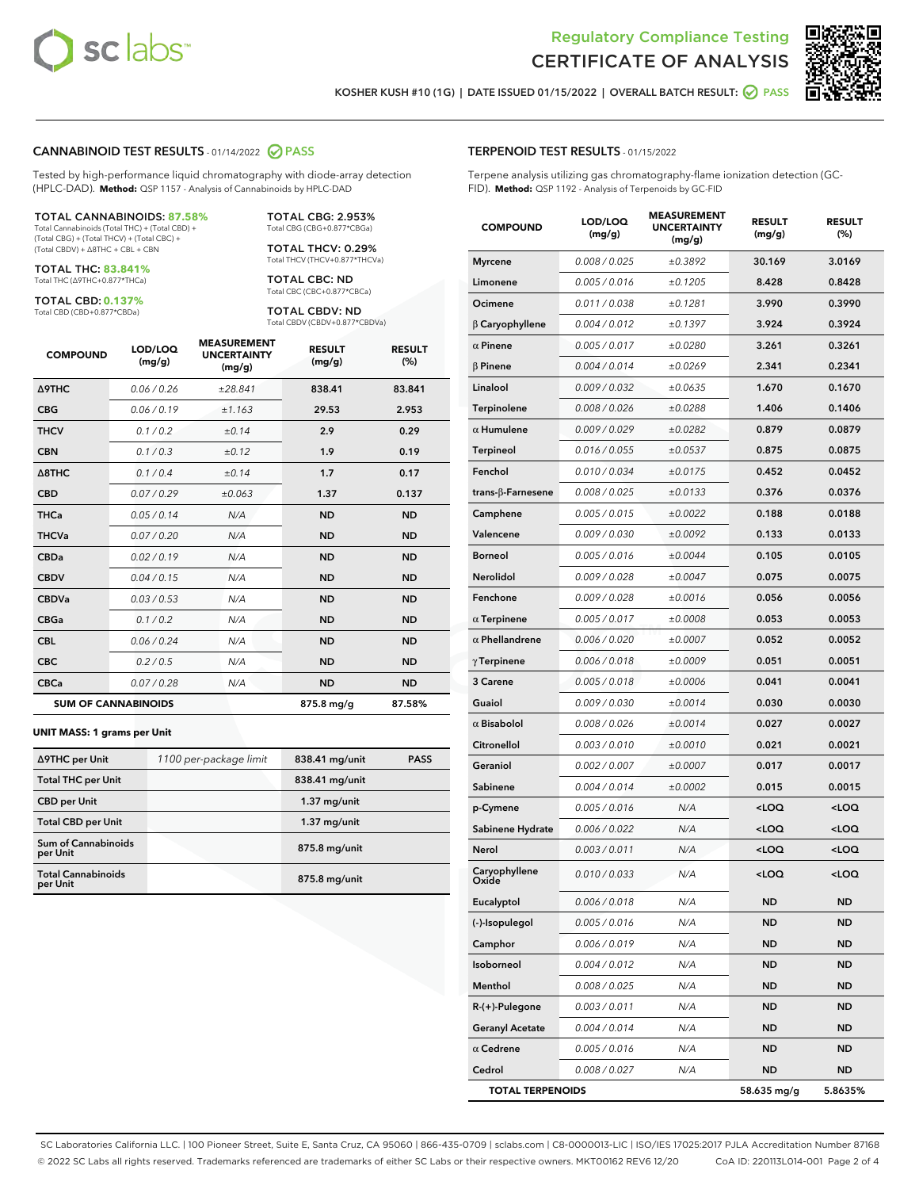



KOSHER KUSH #10 (1G) | DATE ISSUED 01/15/2022 | OVERALL BATCH RESULT: 2 PASS

#### CANNABINOID TEST RESULTS - 01/14/2022 2 PASS

Tested by high-performance liquid chromatography with diode-array detection (HPLC-DAD). **Method:** QSP 1157 - Analysis of Cannabinoids by HPLC-DAD

#### TOTAL CANNABINOIDS: **87.58%**

Total Cannabinoids (Total THC) + (Total CBD) + (Total CBG) + (Total THCV) + (Total CBC) + (Total CBDV) + ∆8THC + CBL + CBN

TOTAL THC: **83.841%** Total THC (∆9THC+0.877\*THCa)

TOTAL CBD: **0.137%**

Total CBD (CBD+0.877\*CBDa)

TOTAL CBG: 2.953% Total CBG (CBG+0.877\*CBGa)

TOTAL THCV: 0.29% Total THCV (THCV+0.877\*THCVa)

TOTAL CBC: ND Total CBC (CBC+0.877\*CBCa)

TOTAL CBDV: ND Total CBDV (CBDV+0.877\*CBDVa)

| <b>COMPOUND</b>  | LOD/LOQ<br>(mg/g)          | <b>MEASUREMENT</b><br><b>UNCERTAINTY</b><br>(mg/g) | <b>RESULT</b><br>(mg/g) | <b>RESULT</b><br>(%) |
|------------------|----------------------------|----------------------------------------------------|-------------------------|----------------------|
| <b>A9THC</b>     | 0.06 / 0.26                | ±28.841                                            | 838.41                  | 83.841               |
| <b>CBG</b>       | 0.06/0.19                  | ±1.163                                             | 29.53                   | 2.953                |
| <b>THCV</b>      | 0.1 / 0.2                  | ±0.14                                              | 2.9                     | 0.29                 |
| <b>CBN</b>       | 0.1 / 0.3                  | ±0.12                                              | 1.9                     | 0.19                 |
| $\triangle$ 8THC | 0.1 / 0.4                  | ±0.14                                              | 1.7                     | 0.17                 |
| <b>CBD</b>       | 0.07/0.29                  | ±0.063                                             | 1.37                    | 0.137                |
| <b>THCa</b>      | 0.05/0.14                  | N/A                                                | <b>ND</b>               | <b>ND</b>            |
| <b>THCVa</b>     | 0.07/0.20                  | N/A                                                | <b>ND</b>               | <b>ND</b>            |
| <b>CBDa</b>      | 0.02/0.19                  | N/A                                                | <b>ND</b>               | <b>ND</b>            |
| <b>CBDV</b>      | 0.04/0.15                  | N/A                                                | <b>ND</b>               | <b>ND</b>            |
| <b>CBDVa</b>     | 0.03/0.53                  | N/A                                                | <b>ND</b>               | <b>ND</b>            |
| <b>CBGa</b>      | 0.1/0.2                    | N/A                                                | <b>ND</b>               | <b>ND</b>            |
| <b>CBL</b>       | 0.06 / 0.24                | N/A                                                | <b>ND</b>               | <b>ND</b>            |
| <b>CBC</b>       | 0.2 / 0.5                  | N/A                                                | <b>ND</b>               | <b>ND</b>            |
| <b>CBCa</b>      | 0.07 / 0.28                | N/A                                                | <b>ND</b>               | <b>ND</b>            |
|                  | <b>SUM OF CANNABINOIDS</b> |                                                    | 875.8 mg/g              | 87.58%               |

#### **UNIT MASS: 1 grams per Unit**

| ∆9THC per Unit                        | 1100 per-package limit | 838.41 mg/unit | <b>PASS</b> |
|---------------------------------------|------------------------|----------------|-------------|
| <b>Total THC per Unit</b>             |                        | 838.41 mg/unit |             |
| <b>CBD</b> per Unit                   |                        | $1.37$ mg/unit |             |
| <b>Total CBD per Unit</b>             |                        | $1.37$ mg/unit |             |
| Sum of Cannabinoids<br>per Unit       |                        | 875.8 mg/unit  |             |
| <b>Total Cannabinoids</b><br>per Unit |                        | 875.8 mg/unit  |             |

#### TERPENOID TEST RESULTS - 01/15/2022

Terpene analysis utilizing gas chromatography-flame ionization detection (GC-FID). **Method:** QSP 1192 - Analysis of Terpenoids by GC-FID

| <b>COMPOUND</b>           | LOD/LOQ<br>(mg/g) | <b>MEASUREMENT</b><br><b>UNCERTAINTY</b><br>(mg/g) | <b>RESULT</b><br>(mg/g)                         | <b>RESULT</b><br>(%) |
|---------------------------|-------------------|----------------------------------------------------|-------------------------------------------------|----------------------|
| <b>Myrcene</b>            | 0.008 / 0.025     | ±0.3892                                            | 30.169                                          | 3.0169               |
| Limonene                  | 0.005 / 0.016     | ±0.1205                                            | 8.428                                           | 0.8428               |
| Ocimene                   | 0.011 / 0.038     | ±0.1281                                            | 3.990                                           | 0.3990               |
| $\beta$ Caryophyllene     | 0.004 / 0.012     | ±0.1397                                            | 3.924                                           | 0.3924               |
| $\alpha$ Pinene           | 0.005 / 0.017     | ±0.0280                                            | 3.261                                           | 0.3261               |
| $\beta$ Pinene            | 0.004 / 0.014     | ±0.0269                                            | 2.341                                           | 0.2341               |
| Linalool                  | 0.009 / 0.032     | ±0.0635                                            | 1.670                                           | 0.1670               |
| Terpinolene               | 0.008 / 0.026     | ±0.0288                                            | 1.406                                           | 0.1406               |
| $\alpha$ Humulene         | 0.009/0.029       | ±0.0282                                            | 0.879                                           | 0.0879               |
| <b>Terpineol</b>          | 0.016 / 0.055     | ±0.0537                                            | 0.875                                           | 0.0875               |
| Fenchol                   | 0.010 / 0.034     | ±0.0175                                            | 0.452                                           | 0.0452               |
| trans- $\beta$ -Farnesene | 0.008 / 0.025     | ±0.0133                                            | 0.376                                           | 0.0376               |
| Camphene                  | 0.005 / 0.015     | ±0.0022                                            | 0.188                                           | 0.0188               |
| Valencene                 | 0.009 / 0.030     | ±0.0092                                            | 0.133                                           | 0.0133               |
| <b>Borneol</b>            | 0.005 / 0.016     | ±0.0044                                            | 0.105                                           | 0.0105               |
| Nerolidol                 | 0.009 / 0.028     | ±0.0047                                            | 0.075                                           | 0.0075               |
| Fenchone                  | 0.009 / 0.028     | ±0.0016                                            | 0.056                                           | 0.0056               |
| $\alpha$ Terpinene        | 0.005 / 0.017     | ±0.0008                                            | 0.053                                           | 0.0053               |
| $\alpha$ Phellandrene     | 0.006 / 0.020     | ±0.0007                                            | 0.052                                           | 0.0052               |
| $\gamma$ Terpinene        | 0.006 / 0.018     | ±0.0009                                            | 0.051                                           | 0.0051               |
| 3 Carene                  | 0.005 / 0.018     | ±0.0006                                            | 0.041                                           | 0.0041               |
| Guaiol                    | 0.009 / 0.030     | ±0.0014                                            | 0.030                                           | 0.0030               |
| $\alpha$ Bisabolol        | 0.008 / 0.026     | ±0.0014                                            | 0.027                                           | 0.0027               |
| Citronellol               | 0.003 / 0.010     | ±0.0010                                            | 0.021                                           | 0.0021               |
| Geraniol                  | 0.002 / 0.007     | ±0.0007                                            | 0.017                                           | 0.0017               |
| Sabinene                  | 0.004 / 0.014     | ±0.0002                                            | 0.015                                           | 0.0015               |
| p-Cymene                  | 0.005 / 0.016     | N/A                                                | <loq< th=""><th><loq< th=""></loq<></th></loq<> | <loq< th=""></loq<>  |
| Sabinene Hydrate          | 0.006 / 0.022     | N/A                                                | <loq< th=""><th><loq< th=""></loq<></th></loq<> | <loq< th=""></loq<>  |
| Nerol                     | 0.003 / 0.011     | N/A                                                | <loq< th=""><th><loq< th=""></loq<></th></loq<> | <loq< th=""></loq<>  |
| Caryophyllene<br>Oxide    | 0.010 / 0.033     | N/A                                                | <loq< th=""><th><loq< th=""></loq<></th></loq<> | <loq< th=""></loq<>  |
| Eucalyptol                | 0.006 / 0.018     | N/A                                                | ND                                              | ND                   |
| (-)-Isopulegol            | 0.005 / 0.016     | N/A                                                | ND                                              | ND                   |
| Camphor                   | 0.006 / 0.019     | N/A                                                | <b>ND</b>                                       | ND                   |
| Isoborneol                | 0.004 / 0.012     | N/A                                                | <b>ND</b>                                       | <b>ND</b>            |
| Menthol                   | 0.008 / 0.025     | N/A                                                | ND                                              | ND                   |
| R-(+)-Pulegone            | 0.003 / 0.011     | N/A                                                | ND                                              | ND                   |
| <b>Geranyl Acetate</b>    | 0.004 / 0.014     | N/A                                                | <b>ND</b>                                       | ND                   |
| $\alpha$ Cedrene          | 0.005 / 0.016     | N/A                                                | ND                                              | ND                   |
| Cedrol                    | 0.008 / 0.027     | N/A                                                | <b>ND</b>                                       | ND                   |
| <b>TOTAL TERPENOIDS</b>   |                   |                                                    | 58.635 mg/g                                     | 5.8635%              |

SC Laboratories California LLC. | 100 Pioneer Street, Suite E, Santa Cruz, CA 95060 | 866-435-0709 | sclabs.com | C8-0000013-LIC | ISO/IES 17025:2017 PJLA Accreditation Number 87168 © 2022 SC Labs all rights reserved. Trademarks referenced are trademarks of either SC Labs or their respective owners. MKT00162 REV6 12/20 CoA ID: 220113L014-001 Page 2 of 4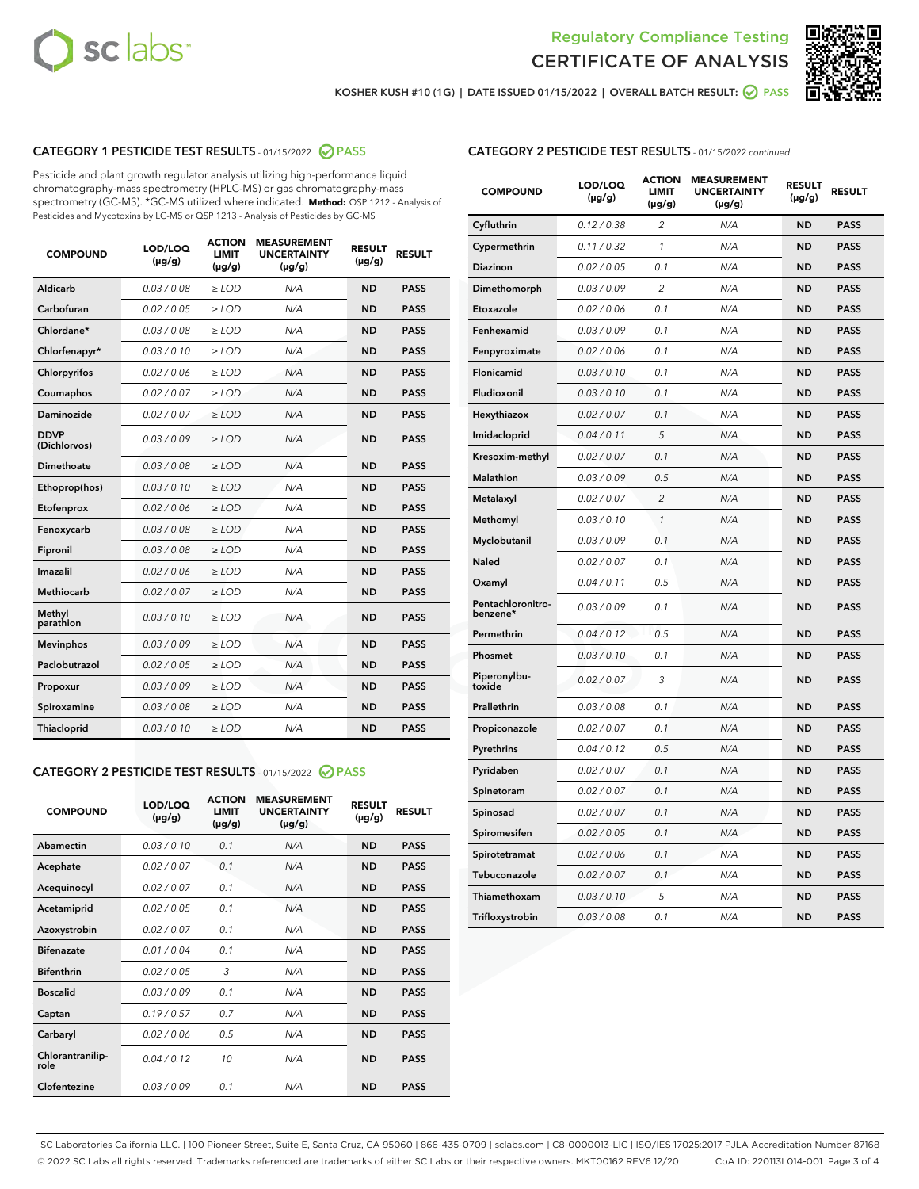



KOSHER KUSH #10 (1G) | DATE ISSUED 01/15/2022 | OVERALL BATCH RESULT: @ PASS

#### CATEGORY 1 PESTICIDE TEST RESULTS - 01/15/2022 2 PASS

Pesticide and plant growth regulator analysis utilizing high-performance liquid chromatography-mass spectrometry (HPLC-MS) or gas chromatography-mass spectrometry (GC-MS). \*GC-MS utilized where indicated. **Method:** QSP 1212 - Analysis of Pesticides and Mycotoxins by LC-MS or QSP 1213 - Analysis of Pesticides by GC-MS

| <b>COMPOUND</b>             | LOD/LOQ<br>$(\mu g/g)$ | <b>ACTION</b><br><b>LIMIT</b><br>$(\mu g/g)$ | <b>MEASUREMENT</b><br><b>UNCERTAINTY</b><br>$(\mu g/g)$ | <b>RESULT</b><br>$(\mu g/g)$ | <b>RESULT</b> |
|-----------------------------|------------------------|----------------------------------------------|---------------------------------------------------------|------------------------------|---------------|
| Aldicarb                    | 0.03 / 0.08            | $\ge$ LOD                                    | N/A                                                     | <b>ND</b>                    | <b>PASS</b>   |
| Carbofuran                  | 0.02/0.05              | $>$ LOD                                      | N/A                                                     | <b>ND</b>                    | <b>PASS</b>   |
| Chlordane*                  | 0.03 / 0.08            | $\ge$ LOD                                    | N/A                                                     | <b>ND</b>                    | <b>PASS</b>   |
| Chlorfenapyr*               | 0.03/0.10              | $\ge$ LOD                                    | N/A                                                     | <b>ND</b>                    | <b>PASS</b>   |
| Chlorpyrifos                | 0.02 / 0.06            | $\ge$ LOD                                    | N/A                                                     | <b>ND</b>                    | <b>PASS</b>   |
| Coumaphos                   | 0.02 / 0.07            | $>$ LOD                                      | N/A                                                     | <b>ND</b>                    | <b>PASS</b>   |
| Daminozide                  | 0.02/0.07              | $\ge$ LOD                                    | N/A                                                     | <b>ND</b>                    | <b>PASS</b>   |
| <b>DDVP</b><br>(Dichlorvos) | 0.03/0.09              | $\ge$ LOD                                    | N/A                                                     | <b>ND</b>                    | <b>PASS</b>   |
| <b>Dimethoate</b>           | 0.03/0.08              | $\ge$ LOD                                    | N/A                                                     | <b>ND</b>                    | <b>PASS</b>   |
| Ethoprop(hos)               | 0.03/0.10              | $\ge$ LOD                                    | N/A                                                     | <b>ND</b>                    | <b>PASS</b>   |
| Etofenprox                  | 0.02/0.06              | $>$ LOD                                      | N/A                                                     | <b>ND</b>                    | <b>PASS</b>   |
| Fenoxycarb                  | 0.03 / 0.08            | $\ge$ LOD                                    | N/A                                                     | <b>ND</b>                    | <b>PASS</b>   |
| Fipronil                    | 0.03 / 0.08            | $>$ LOD                                      | N/A                                                     | <b>ND</b>                    | <b>PASS</b>   |
| Imazalil                    | 0.02 / 0.06            | $\ge$ LOD                                    | N/A                                                     | <b>ND</b>                    | <b>PASS</b>   |
| <b>Methiocarb</b>           | 0.02 / 0.07            | $\ge$ LOD                                    | N/A                                                     | <b>ND</b>                    | <b>PASS</b>   |
| Methyl<br>parathion         | 0.03/0.10              | $\ge$ LOD                                    | N/A                                                     | <b>ND</b>                    | <b>PASS</b>   |
| <b>Mevinphos</b>            | 0.03/0.09              | $>$ LOD                                      | N/A                                                     | <b>ND</b>                    | <b>PASS</b>   |
| Paclobutrazol               | 0.02 / 0.05            | $\ge$ LOD                                    | N/A                                                     | <b>ND</b>                    | <b>PASS</b>   |
| Propoxur                    | 0.03 / 0.09            | $\ge$ LOD                                    | N/A                                                     | <b>ND</b>                    | <b>PASS</b>   |
| Spiroxamine                 | 0.03 / 0.08            | $\ge$ LOD                                    | N/A                                                     | <b>ND</b>                    | <b>PASS</b>   |
| <b>Thiacloprid</b>          | 0.03/0.10              | $\ge$ LOD                                    | N/A                                                     | <b>ND</b>                    | <b>PASS</b>   |

#### CATEGORY 2 PESTICIDE TEST RESULTS - 01/15/2022 @ PASS

| <b>COMPOUND</b>          | LOD/LOO<br>$(\mu g/g)$ | <b>ACTION</b><br>LIMIT<br>$(\mu g/g)$ | <b>MEASUREMENT</b><br><b>UNCERTAINTY</b><br>$(\mu g/g)$ | <b>RESULT</b><br>$(\mu g/g)$ | <b>RESULT</b> |
|--------------------------|------------------------|---------------------------------------|---------------------------------------------------------|------------------------------|---------------|
| Abamectin                | 0.03/0.10              | 0.1                                   | N/A                                                     | <b>ND</b>                    | <b>PASS</b>   |
| Acephate                 | 0.02/0.07              | 0.1                                   | N/A                                                     | <b>ND</b>                    | <b>PASS</b>   |
| Acequinocyl              | 0.02/0.07              | 0.1                                   | N/A                                                     | <b>ND</b>                    | <b>PASS</b>   |
| Acetamiprid              | 0.02/0.05              | 0.1                                   | N/A                                                     | <b>ND</b>                    | <b>PASS</b>   |
| Azoxystrobin             | 0.02/0.07              | 0.1                                   | N/A                                                     | <b>ND</b>                    | <b>PASS</b>   |
| <b>Bifenazate</b>        | 0.01/0.04              | 0.1                                   | N/A                                                     | <b>ND</b>                    | <b>PASS</b>   |
| <b>Bifenthrin</b>        | 0.02/0.05              | 3                                     | N/A                                                     | <b>ND</b>                    | <b>PASS</b>   |
| <b>Boscalid</b>          | 0.03/0.09              | 0.1                                   | N/A                                                     | <b>ND</b>                    | <b>PASS</b>   |
| Captan                   | 0.19/0.57              | 0.7                                   | N/A                                                     | <b>ND</b>                    | <b>PASS</b>   |
| Carbaryl                 | 0.02/0.06              | 0.5                                   | N/A                                                     | <b>ND</b>                    | <b>PASS</b>   |
| Chlorantranilip-<br>role | 0.04/0.12              | 10                                    | N/A                                                     | <b>ND</b>                    | <b>PASS</b>   |
| Clofentezine             | 0.03/0.09              | 0.1                                   | N/A                                                     | <b>ND</b>                    | <b>PASS</b>   |

#### CATEGORY 2 PESTICIDE TEST RESULTS - 01/15/2022 continued

| <b>COMPOUND</b>               | LOD/LOQ<br>$(\mu g/g)$ | <b>ACTION</b><br>LIMIT<br>(µg/g) | <b>MEASUREMENT</b><br><b>UNCERTAINTY</b><br>$(\mu g/g)$ | <b>RESULT</b><br>$(\mu g/g)$ | <b>RESULT</b> |
|-------------------------------|------------------------|----------------------------------|---------------------------------------------------------|------------------------------|---------------|
| Cyfluthrin                    | 0.12 / 0.38            | $\overline{2}$                   | N/A                                                     | <b>ND</b>                    | <b>PASS</b>   |
| Cypermethrin                  | 0.11 / 0.32            | 1                                | N/A                                                     | <b>ND</b>                    | <b>PASS</b>   |
| <b>Diazinon</b>               | 0.02 / 0.05            | 0.1                              | N/A                                                     | <b>ND</b>                    | <b>PASS</b>   |
| Dimethomorph                  | 0.03 / 0.09            | $\overline{2}$                   | N/A                                                     | ND                           | <b>PASS</b>   |
| Etoxazole                     | 0.02 / 0.06            | 0.1                              | N/A                                                     | <b>ND</b>                    | <b>PASS</b>   |
| Fenhexamid                    | 0.03 / 0.09            | 0.1                              | N/A                                                     | <b>ND</b>                    | <b>PASS</b>   |
| Fenpyroximate                 | 0.02 / 0.06            | 0.1                              | N/A                                                     | ND                           | <b>PASS</b>   |
| Flonicamid                    | 0.03 / 0.10            | 0.1                              | N/A                                                     | ND                           | <b>PASS</b>   |
| Fludioxonil                   | 0.03 / 0.10            | 0.1                              | N/A                                                     | <b>ND</b>                    | <b>PASS</b>   |
| Hexythiazox                   | 0.02 / 0.07            | 0.1                              | N/A                                                     | <b>ND</b>                    | <b>PASS</b>   |
| Imidacloprid                  | 0.04 / 0.11            | 5                                | N/A                                                     | <b>ND</b>                    | <b>PASS</b>   |
| Kresoxim-methyl               | 0.02 / 0.07            | 0.1                              | N/A                                                     | <b>ND</b>                    | <b>PASS</b>   |
| <b>Malathion</b>              | 0.03 / 0.09            | 0.5                              | N/A                                                     | ND                           | <b>PASS</b>   |
| Metalaxyl                     | 0.02 / 0.07            | $\overline{c}$                   | N/A                                                     | ND                           | <b>PASS</b>   |
| Methomyl                      | 0.03 / 0.10            | 1                                | N/A                                                     | <b>ND</b>                    | <b>PASS</b>   |
| Myclobutanil                  | 0.03 / 0.09            | 0.1                              | N/A                                                     | ND                           | <b>PASS</b>   |
| Naled                         | 0.02 / 0.07            | 0.1                              | N/A                                                     | <b>ND</b>                    | <b>PASS</b>   |
| Oxamyl                        | 0.04 / 0.11            | 0.5                              | N/A                                                     | ND                           | <b>PASS</b>   |
| Pentachloronitro-<br>benzene* | 0.03 / 0.09            | 0.1                              | N/A                                                     | ND                           | <b>PASS</b>   |
| Permethrin                    | 0.04 / 0.12            | 0.5                              | N/A                                                     | <b>ND</b>                    | <b>PASS</b>   |
| Phosmet                       | 0.03 / 0.10            | 0.1                              | N/A                                                     | ND                           | <b>PASS</b>   |
| Piperonylbu-<br>toxide        | 0.02 / 0.07            | 3                                | N/A                                                     | <b>ND</b>                    | <b>PASS</b>   |
| Prallethrin                   | 0.03 / 0.08            | 0.1                              | N/A                                                     | <b>ND</b>                    | <b>PASS</b>   |
| Propiconazole                 | 0.02 / 0.07            | 0.1                              | N/A                                                     | <b>ND</b>                    | <b>PASS</b>   |
| Pyrethrins                    | 0.04 / 0.12            | 0.5                              | N/A                                                     | ND                           | <b>PASS</b>   |
| Pyridaben                     | 0.02 / 0.07            | 0.1                              | N/A                                                     | <b>ND</b>                    | <b>PASS</b>   |
| Spinetoram                    | 0.02 / 0.07            | 0.1                              | N/A                                                     | <b>ND</b>                    | <b>PASS</b>   |
| Spinosad                      | 0.02 / 0.07            | 0.1                              | N/A                                                     | ND                           | <b>PASS</b>   |
| Spiromesifen                  | 0.02 / 0.05            | 0.1                              | N/A                                                     | <b>ND</b>                    | <b>PASS</b>   |
| Spirotetramat                 | 0.02 / 0.06            | 0.1                              | N/A                                                     | ND                           | <b>PASS</b>   |
| Tebuconazole                  | 0.02 / 0.07            | 0.1                              | N/A                                                     | <b>ND</b>                    | <b>PASS</b>   |
| Thiamethoxam                  | 0.03 / 0.10            | 5                                | N/A                                                     | ND                           | <b>PASS</b>   |
| Trifloxystrobin               | 0.03 / 0.08            | 0.1                              | N/A                                                     | <b>ND</b>                    | <b>PASS</b>   |

SC Laboratories California LLC. | 100 Pioneer Street, Suite E, Santa Cruz, CA 95060 | 866-435-0709 | sclabs.com | C8-0000013-LIC | ISO/IES 17025:2017 PJLA Accreditation Number 87168 © 2022 SC Labs all rights reserved. Trademarks referenced are trademarks of either SC Labs or their respective owners. MKT00162 REV6 12/20 CoA ID: 220113L014-001 Page 3 of 4